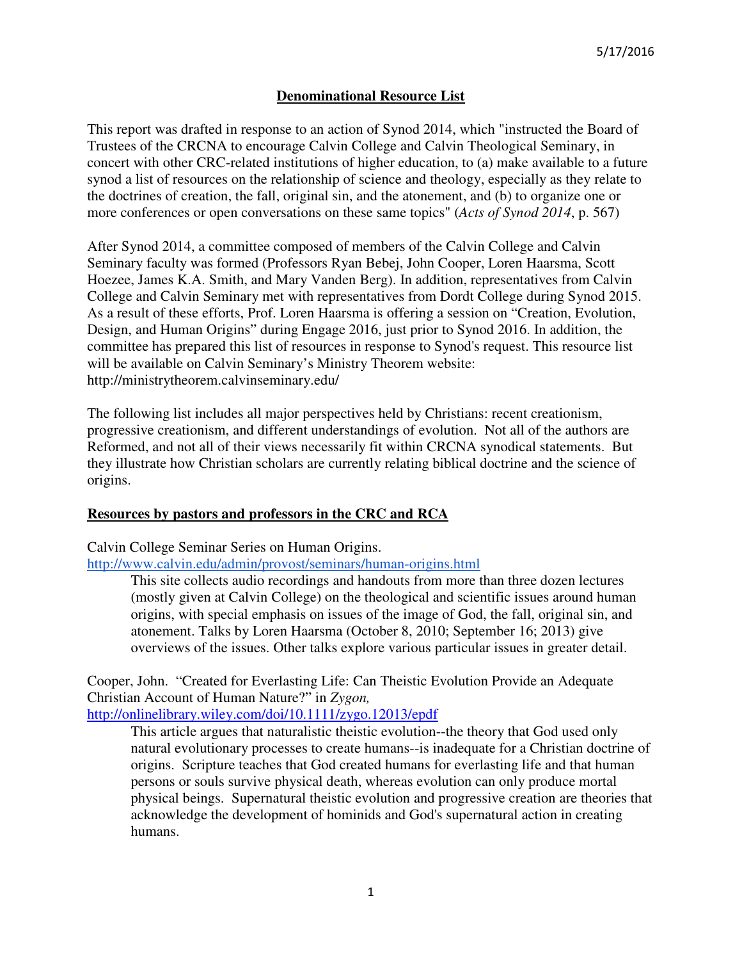# **Denominational Resource List**

This report was drafted in response to an action of Synod 2014, which "instructed the Board of Trustees of the CRCNA to encourage Calvin College and Calvin Theological Seminary, in concert with other CRC-related institutions of higher education, to (a) make available to a future synod a list of resources on the relationship of science and theology, especially as they relate to the doctrines of creation, the fall, original sin, and the atonement, and (b) to organize one or more conferences or open conversations on these same topics" (*Acts of Synod 2014*, p. 567)

After Synod 2014, a committee composed of members of the Calvin College and Calvin Seminary faculty was formed (Professors Ryan Bebej, John Cooper, Loren Haarsma, Scott Hoezee, James K.A. Smith, and Mary Vanden Berg). In addition, representatives from Calvin College and Calvin Seminary met with representatives from Dordt College during Synod 2015. As a result of these efforts, Prof. Loren Haarsma is offering a session on "Creation, Evolution, Design, and Human Origins" during Engage 2016, just prior to Synod 2016. In addition, the committee has prepared this list of resources in response to Synod's request. This resource list will be available on Calvin Seminary's Ministry Theorem website: http://ministrytheorem.calvinseminary.edu/

The following list includes all major perspectives held by Christians: recent creationism, progressive creationism, and different understandings of evolution. Not all of the authors are Reformed, and not all of their views necessarily fit within CRCNA synodical statements. But they illustrate how Christian scholars are currently relating biblical doctrine and the science of origins.

# **Resources by pastors and professors in the CRC and RCA**

Calvin College Seminar Series on Human Origins.

http://www.calvin.edu/admin/provost/seminars/human-origins.html

This site collects audio recordings and handouts from more than three dozen lectures (mostly given at Calvin College) on the theological and scientific issues around human origins, with special emphasis on issues of the image of God, the fall, original sin, and atonement. Talks by Loren Haarsma (October 8, 2010; September 16; 2013) give overviews of the issues. Other talks explore various particular issues in greater detail.

Cooper, John. "Created for Everlasting Life: Can Theistic Evolution Provide an Adequate Christian Account of Human Nature?" in *Zygon,* 

http://onlinelibrary.wiley.com/doi/10.1111/zygo.12013/epdf

This article argues that naturalistic theistic evolution--the theory that God used only natural evolutionary processes to create humans--is inadequate for a Christian doctrine of origins. Scripture teaches that God created humans for everlasting life and that human persons or souls survive physical death, whereas evolution can only produce mortal physical beings. Supernatural theistic evolution and progressive creation are theories that acknowledge the development of hominids and God's supernatural action in creating humans.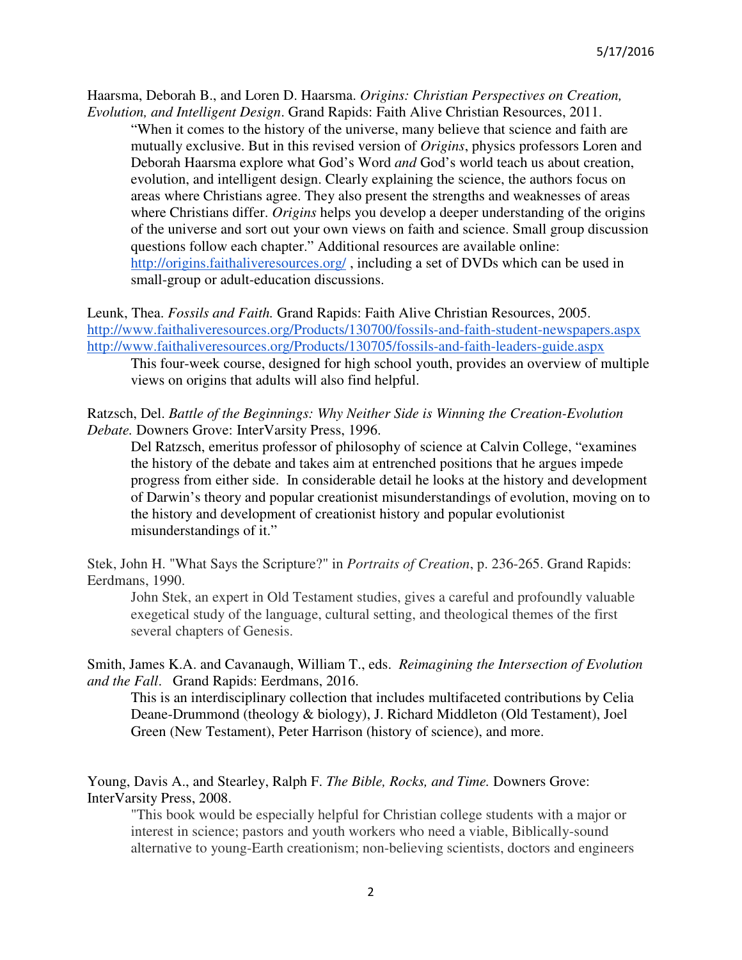Haarsma, Deborah B., and Loren D. Haarsma. *Origins: Christian Perspectives on Creation, Evolution, and Intelligent Design*. Grand Rapids: Faith Alive Christian Resources, 2011.

"When it comes to the history of the universe, many believe that science and faith are mutually exclusive. But in this revised version of *Origins*, physics professors Loren and Deborah Haarsma explore what God's Word *and* God's world teach us about creation, evolution, and intelligent design. Clearly explaining the science, the authors focus on areas where Christians agree. They also present the strengths and weaknesses of areas where Christians differ. *Origins* helps you develop a deeper understanding of the origins of the universe and sort out your own views on faith and science. Small group discussion questions follow each chapter." Additional resources are available online: http://origins.faithaliveresources.org/, including a set of DVDs which can be used in small-group or adult-education discussions.

# Leunk, Thea. *Fossils and Faith.* Grand Rapids: Faith Alive Christian Resources, 2005. http://www.faithaliveresources.org/Products/130700/fossils-and-faith-student-newspapers.aspx http://www.faithaliveresources.org/Products/130705/fossils-and-faith-leaders-guide.aspx

This four-week course, designed for high school youth, provides an overview of multiple views on origins that adults will also find helpful.

#### Ratzsch, Del. *Battle of the Beginnings: Why Neither Side is Winning the Creation-Evolution Debate.* Downers Grove: InterVarsity Press, 1996.

Del Ratzsch, emeritus professor of philosophy of science at Calvin College, "examines the history of the debate and takes aim at entrenched positions that he argues impede progress from either side. In considerable detail he looks at the history and development of Darwin's theory and popular creationist misunderstandings of evolution, moving on to the history and development of creationist history and popular evolutionist misunderstandings of it."

Stek, John H. "What Says the Scripture?" in *Portraits of Creation*, p. 236-265. Grand Rapids: Eerdmans, 1990.

John Stek, an expert in Old Testament studies, gives a careful and profoundly valuable exegetical study of the language, cultural setting, and theological themes of the first several chapters of Genesis.

Smith, James K.A. and Cavanaugh, William T., eds. *Reimagining the Intersection of Evolution and the Fall*. Grand Rapids: Eerdmans, 2016.

This is an interdisciplinary collection that includes multifaceted contributions by Celia Deane-Drummond (theology & biology), J. Richard Middleton (Old Testament), Joel Green (New Testament), Peter Harrison (history of science), and more.

Young, Davis A., and Stearley, Ralph F. *The Bible, Rocks, and Time.* Downers Grove: InterVarsity Press, 2008.

"This book would be especially helpful for Christian college students with a major or interest in science; pastors and youth workers who need a viable, Biblically-sound alternative to young-Earth creationism; non-believing scientists, doctors and engineers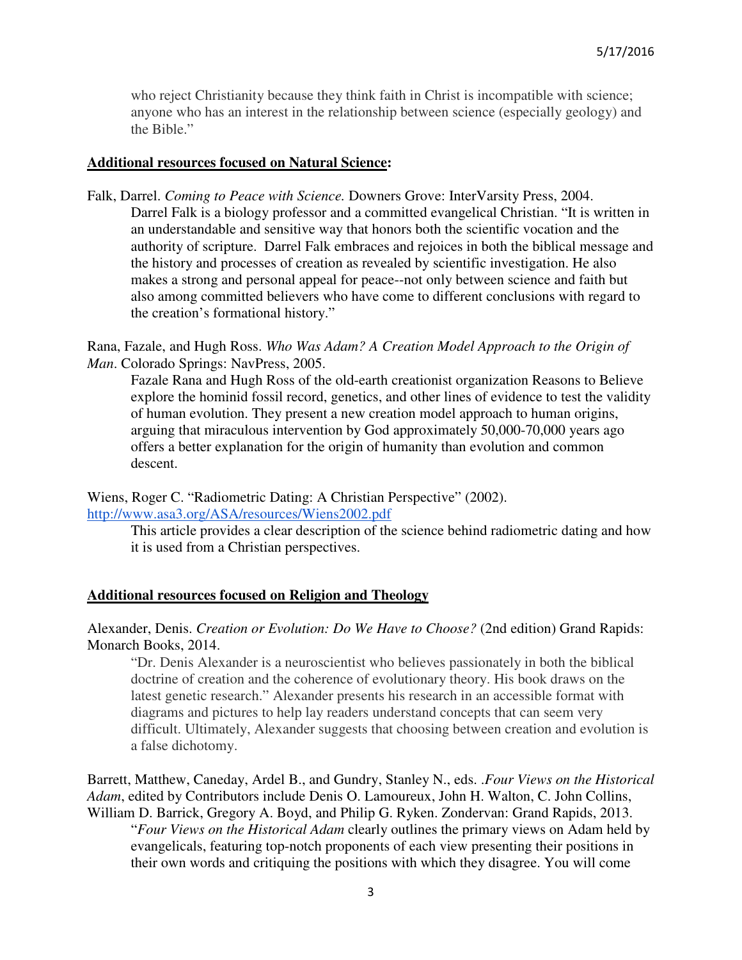who reject Christianity because they think faith in Christ is incompatible with science; anyone who has an interest in the relationship between science (especially geology) and the Bible."

#### **Additional resources focused on Natural Science:**

Falk, Darrel. *Coming to Peace with Science.* Downers Grove: InterVarsity Press, 2004. Darrel Falk is a biology professor and a committed evangelical Christian. "It is written in an understandable and sensitive way that honors both the scientific vocation and the authority of scripture. Darrel Falk embraces and rejoices in both the biblical message and the history and processes of creation as revealed by scientific investigation. He also makes a strong and personal appeal for peace--not only between science and faith but also among committed believers who have come to different conclusions with regard to the creation's formational history."

Rana, Fazale, and Hugh Ross. *Who Was Adam? A Creation Model Approach to the Origin of Man*. Colorado Springs: NavPress, 2005.

Fazale Rana and Hugh Ross of the old-earth creationist organization Reasons to Believe explore the hominid fossil record, genetics, and other lines of evidence to test the validity of human evolution. They present a new creation model approach to human origins, arguing that miraculous intervention by God approximately 50,000-70,000 years ago offers a better explanation for the origin of humanity than evolution and common descent.

Wiens, Roger C. "Radiometric Dating: A Christian Perspective" (2002). http://www.asa3.org/ASA/resources/Wiens2002.pdf

> This article provides a clear description of the science behind radiometric dating and how it is used from a Christian perspectives.

#### **Additional resources focused on Religion and Theology**

Alexander, Denis. *Creation or Evolution: Do We Have to Choose?* (2nd edition) Grand Rapids: Monarch Books, 2014.

"Dr. Denis Alexander is a neuroscientist who believes passionately in both the biblical doctrine of creation and the coherence of evolutionary theory. His book draws on the latest genetic research." Alexander presents his research in an accessible format with diagrams and pictures to help lay readers understand concepts that can seem very difficult. Ultimately, Alexander suggests that choosing between creation and evolution is a false dichotomy.

Barrett, Matthew, Caneday, Ardel B., and Gundry, Stanley N., eds. .*Four Views on the Historical Adam*, edited by Contributors include Denis O. Lamoureux, John H. Walton, C. John Collins, William D. Barrick, Gregory A. Boyd, and Philip G. Ryken. Zondervan: Grand Rapids, 2013. "*Four Views on the Historical Adam* clearly outlines the primary views on Adam held by evangelicals, featuring top-notch proponents of each view presenting their positions in their own words and critiquing the positions with which they disagree. You will come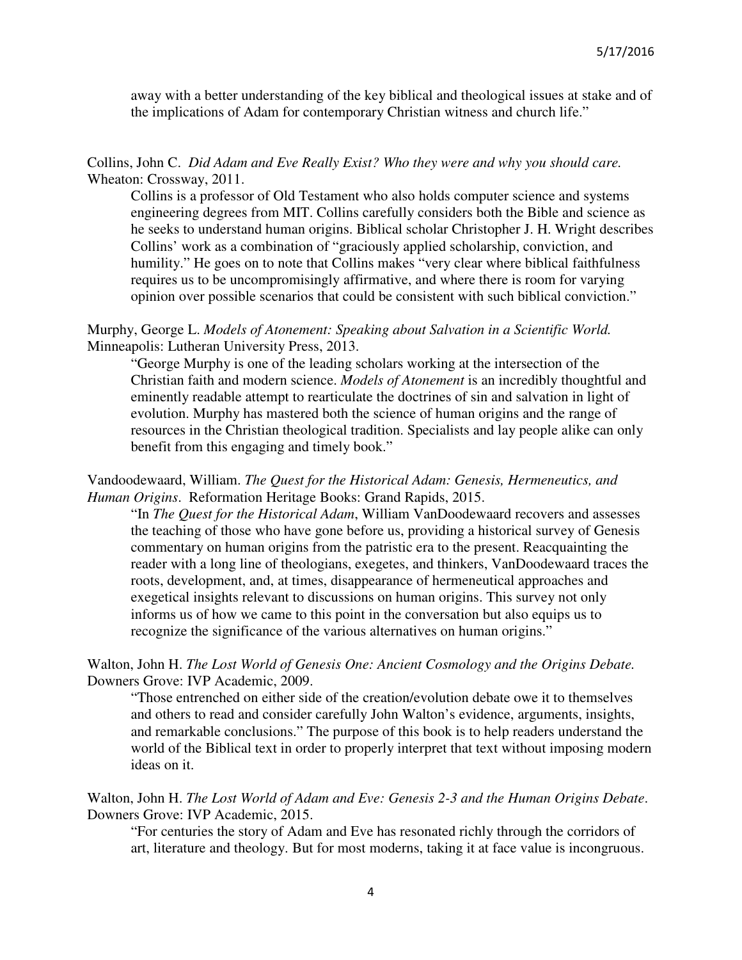away with a better understanding of the key biblical and theological issues at stake and of the implications of Adam for contemporary Christian witness and church life."

# Collins, John C. *Did Adam and Eve Really Exist? Who they were and why you should care.*  Wheaton: Crossway, 2011.

Collins is a professor of Old Testament who also holds computer science and systems engineering degrees from MIT. Collins carefully considers both the Bible and science as he seeks to understand human origins. Biblical scholar Christopher J. H. Wright describes Collins' work as a combination of "graciously applied scholarship, conviction, and humility." He goes on to note that Collins makes "very clear where biblical faithfulness requires us to be uncompromisingly affirmative, and where there is room for varying opinion over possible scenarios that could be consistent with such biblical conviction."

### Murphy, George L. *Models of Atonement: Speaking about Salvation in a Scientific World.* Minneapolis: Lutheran University Press, 2013.

"George Murphy is one of the leading scholars working at the intersection of the Christian faith and modern science. *Models of Atonement* is an incredibly thoughtful and eminently readable attempt to rearticulate the doctrines of sin and salvation in light of evolution. Murphy has mastered both the science of human origins and the range of resources in the Christian theological tradition. Specialists and lay people alike can only benefit from this engaging and timely book."

# Vandoodewaard, William. *The Quest for the Historical Adam: Genesis, Hermeneutics, and Human Origins*. Reformation Heritage Books: Grand Rapids, 2015.

"In *The Quest for the Historical Adam*, William VanDoodewaard recovers and assesses the teaching of those who have gone before us, providing a historical survey of Genesis commentary on human origins from the patristic era to the present. Reacquainting the reader with a long line of theologians, exegetes, and thinkers, VanDoodewaard traces the roots, development, and, at times, disappearance of hermeneutical approaches and exegetical insights relevant to discussions on human origins. This survey not only informs us of how we came to this point in the conversation but also equips us to recognize the significance of the various alternatives on human origins."

### Walton, John H. *The Lost World of Genesis One: Ancient Cosmology and the Origins Debate.*  Downers Grove: IVP Academic, 2009.

"Those entrenched on either side of the creation/evolution debate owe it to themselves and others to read and consider carefully John Walton's evidence, arguments, insights, and remarkable conclusions." The purpose of this book is to help readers understand the world of the Biblical text in order to properly interpret that text without imposing modern ideas on it.

### Walton, John H. *The Lost World of Adam and Eve: Genesis 2-3 and the Human Origins Debate*. Downers Grove: IVP Academic, 2015.

"For centuries the story of Adam and Eve has resonated richly through the corridors of art, literature and theology. But for most moderns, taking it at face value is incongruous.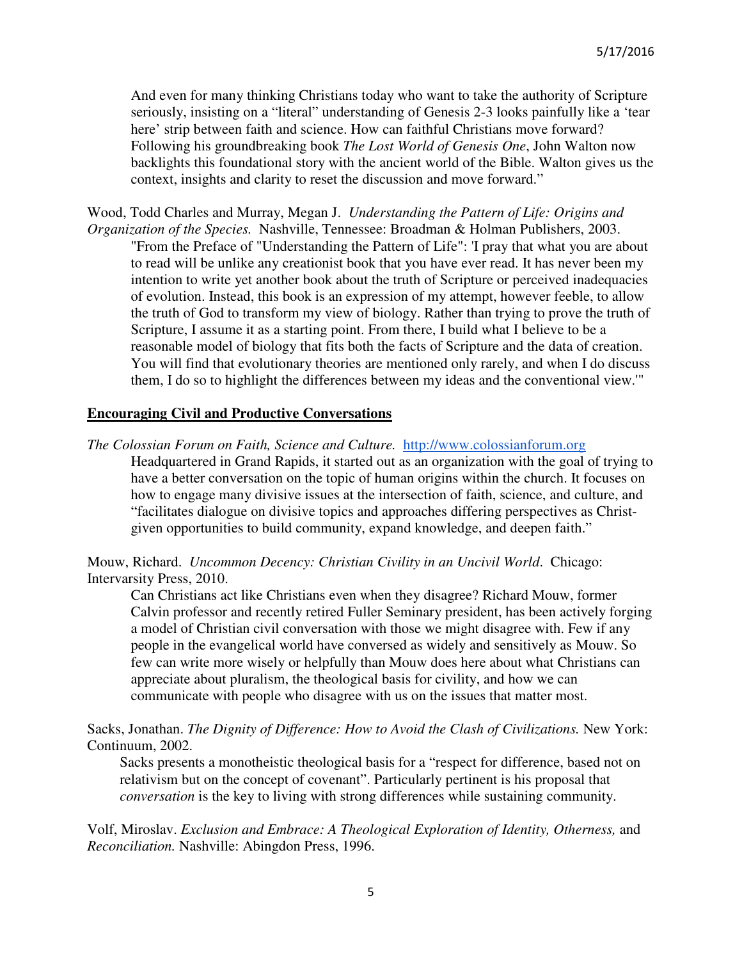And even for many thinking Christians today who want to take the authority of Scripture seriously, insisting on a "literal" understanding of Genesis 2-3 looks painfully like a 'tear here' strip between faith and science. How can faithful Christians move forward? Following his groundbreaking book *The Lost World of Genesis One*, John Walton now backlights this foundational story with the ancient world of the Bible. Walton gives us the context, insights and clarity to reset the discussion and move forward."

Wood, Todd Charles and Murray, Megan J.*Understanding the Pattern of Life: Origins and Organization of the Species.* Nashville, Tennessee: Broadman & Holman Publishers, 2003.

"From the Preface of "Understanding the Pattern of Life": 'I pray that what you are about to read will be unlike any creationist book that you have ever read. It has never been my intention to write yet another book about the truth of Scripture or perceived inadequacies of evolution. Instead, this book is an expression of my attempt, however feeble, to allow the truth of God to transform my view of biology. Rather than trying to prove the truth of Scripture, I assume it as a starting point. From there, I build what I believe to be a reasonable model of biology that fits both the facts of Scripture and the data of creation. You will find that evolutionary theories are mentioned only rarely, and when I do discuss them, I do so to highlight the differences between my ideas and the conventional view.'"

#### **Encouraging Civil and Productive Conversations**

*The Colossian Forum on Faith, Science and Culture.* http://www.colossianforum.org Headquartered in Grand Rapids, it started out as an organization with the goal of trying to have a better conversation on the topic of human origins within the church. It focuses on how to engage many divisive issues at the intersection of faith, science, and culture, and "facilitates dialogue on divisive topics and approaches differing perspectives as Christgiven opportunities to build community, expand knowledge, and deepen faith."

Mouw, Richard. *Uncommon Decency: Christian Civility in an Uncivil World*. Chicago: Intervarsity Press, 2010.

Can Christians act like Christians even when they disagree? Richard Mouw, former Calvin professor and recently retired Fuller Seminary president, has been actively forging a model of Christian civil conversation with those we might disagree with. Few if any people in the evangelical world have conversed as widely and sensitively as Mouw. So few can write more wisely or helpfully than Mouw does here about what Christians can appreciate about pluralism, the theological basis for civility, and how we can communicate with people who disagree with us on the issues that matter most.

Sacks, Jonathan. *The Dignity of Difference: How to Avoid the Clash of Civilizations*. New York: Continuum, 2002.

Sacks presents a monotheistic theological basis for a "respect for difference, based not on relativism but on the concept of covenant". Particularly pertinent is his proposal that *conversation* is the key to living with strong differences while sustaining community.

Volf, Miroslav. *Exclusion and Embrace: A Theological Exploration of Identity, Otherness,* and *Reconciliation.* Nashville: Abingdon Press, 1996.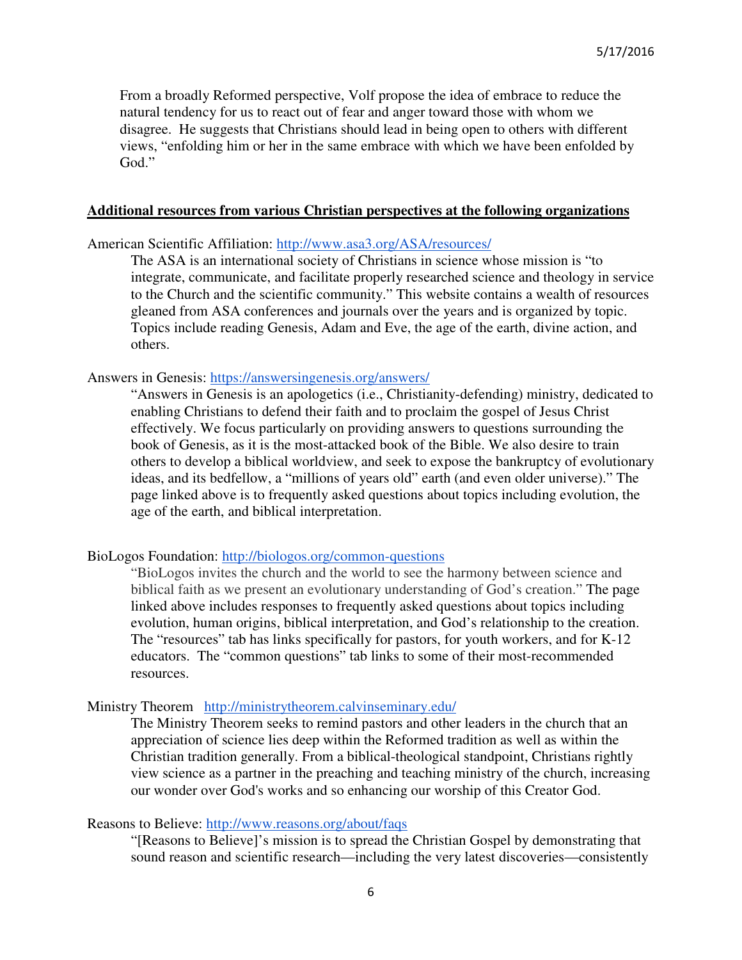From a broadly Reformed perspective, Volf propose the idea of embrace to reduce the natural tendency for us to react out of fear and anger toward those with whom we disagree. He suggests that Christians should lead in being open to others with different views, "enfolding him or her in the same embrace with which we have been enfolded by God."

#### **Additional resources from various Christian perspectives at the following organizations**

American Scientific Affiliation: http://www.asa3.org/ASA/resources/

The ASA is an international society of Christians in science whose mission is "to integrate, communicate, and facilitate properly researched science and theology in service to the Church and the scientific community." This website contains a wealth of resources gleaned from ASA conferences and journals over the years and is organized by topic. Topics include reading Genesis, Adam and Eve, the age of the earth, divine action, and others.

Answers in Genesis: https://answersingenesis.org/answers/

"Answers in Genesis is an apologetics (i.e., Christianity-defending) ministry, dedicated to enabling Christians to defend their faith and to proclaim the gospel of Jesus Christ effectively. We focus particularly on providing answers to questions surrounding the book of Genesis, as it is the most-attacked book of the Bible. We also desire to train others to develop a biblical worldview, and seek to expose the bankruptcy of evolutionary ideas, and its bedfellow, a "millions of years old" earth (and even older universe)." The page linked above is to frequently asked questions about topics including evolution, the age of the earth, and biblical interpretation.

BioLogos Foundation: http://biologos.org/common-questions

"BioLogos invites the church and the world to see the harmony between science and biblical faith as we present an evolutionary understanding of God's creation." The page linked above includes responses to frequently asked questions about topics including evolution, human origins, biblical interpretation, and God's relationship to the creation. The "resources" tab has links specifically for pastors, for youth workers, and for K-12 educators. The "common questions" tab links to some of their most-recommended resources.

#### Ministry Theorem http://ministrytheorem.calvinseminary.edu/

The Ministry Theorem seeks to remind pastors and other leaders in the church that an appreciation of science lies deep within the Reformed tradition as well as within the Christian tradition generally. From a biblical-theological standpoint, Christians rightly view science as a partner in the preaching and teaching ministry of the church, increasing our wonder over God's works and so enhancing our worship of this Creator God.

### Reasons to Believe: http://www.reasons.org/about/faqs

"[Reasons to Believe]'s mission is to spread the Christian Gospel by demonstrating that sound reason and scientific research—including the very latest discoveries—consistently